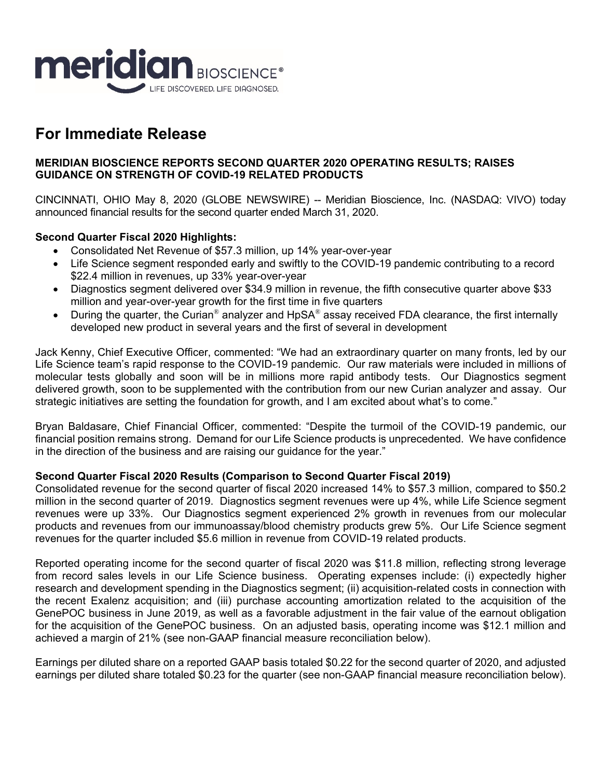

# **For Immediate Release**

#### **MERIDIAN BIOSCIENCE REPORTS SECOND QUARTER 2020 OPERATING RESULTS; RAISES GUIDANCE ON STRENGTH OF COVID-19 RELATED PRODUCTS**

CINCINNATI, OHIO May 8, 2020 (GLOBE NEWSWIRE) -- Meridian Bioscience, Inc. (NASDAQ: VIVO) today announced financial results for the second quarter ended March 31, 2020.

## **Second Quarter Fiscal 2020 Highlights:**

- Consolidated Net Revenue of \$57.3 million, up 14% year-over-year
- Life Science segment responded early and swiftly to the COVID-19 pandemic contributing to a record \$22.4 million in revenues, up 33% year-over-year
- Diagnostics segment delivered over \$34.9 million in revenue, the fifth consecutive quarter above \$33 million and year-over-year growth for the first time in five quarters
- **During the quarter, the Curian<sup>®</sup> analyzer and HpSA<sup>®</sup> assay received FDA clearance, the first internally** developed new product in several years and the first of several in development

Jack Kenny, Chief Executive Officer, commented: "We had an extraordinary quarter on many fronts, led by our Life Science team's rapid response to the COVID-19 pandemic. Our raw materials were included in millions of molecular tests globally and soon will be in millions more rapid antibody tests. Our Diagnostics segment delivered growth, soon to be supplemented with the contribution from our new Curian analyzer and assay. Our strategic initiatives are setting the foundation for growth, and I am excited about what's to come."

Bryan Baldasare, Chief Financial Officer, commented: "Despite the turmoil of the COVID-19 pandemic, our financial position remains strong. Demand for our Life Science products is unprecedented. We have confidence in the direction of the business and are raising our guidance for the year."

#### **Second Quarter Fiscal 2020 Results (Comparison to Second Quarter Fiscal 2019)**

Consolidated revenue for the second quarter of fiscal 2020 increased 14% to \$57.3 million, compared to \$50.2 million in the second quarter of 2019. Diagnostics segment revenues were up 4%, while Life Science segment revenues were up 33%. Our Diagnostics segment experienced 2% growth in revenues from our molecular products and revenues from our immunoassay/blood chemistry products grew 5%. Our Life Science segment revenues for the quarter included \$5.6 million in revenue from COVID-19 related products.

Reported operating income for the second quarter of fiscal 2020 was \$11.8 million, reflecting strong leverage from record sales levels in our Life Science business. Operating expenses include: (i) expectedly higher research and development spending in the Diagnostics segment; (ii) acquisition-related costs in connection with the recent Exalenz acquisition; and (iii) purchase accounting amortization related to the acquisition of the GenePOC business in June 2019, as well as a favorable adjustment in the fair value of the earnout obligation for the acquisition of the GenePOC business. On an adjusted basis, operating income was \$12.1 million and achieved a margin of 21% (see non-GAAP financial measure reconciliation below).

Earnings per diluted share on a reported GAAP basis totaled \$0.22 for the second quarter of 2020, and adjusted earnings per diluted share totaled \$0.23 for the quarter (see non-GAAP financial measure reconciliation below).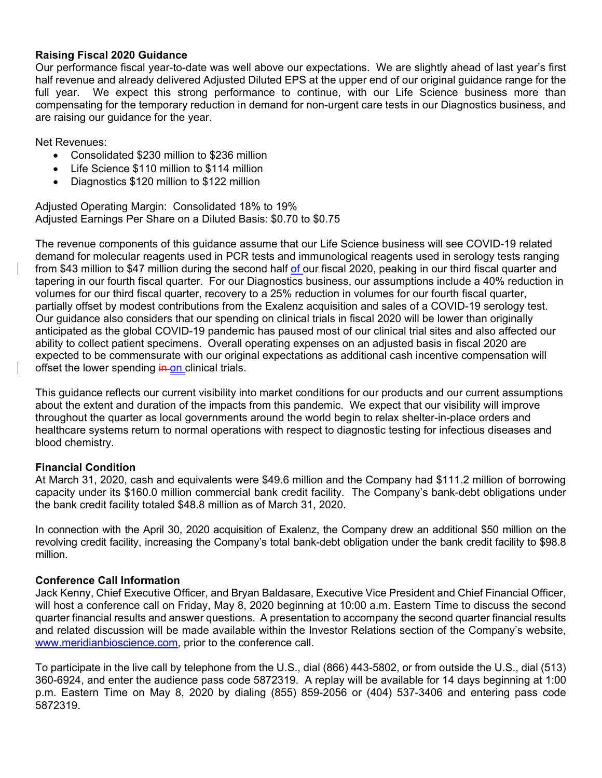#### **Raising Fiscal 2020 Guidance**

Our performance fiscal year-to-date was well above our expectations. We are slightly ahead of last year's first half revenue and already delivered Adjusted Diluted EPS at the upper end of our original guidance range for the full year. We expect this strong performance to continue, with our Life Science business more than compensating for the temporary reduction in demand for non-urgent care tests in our Diagnostics business, and are raising our guidance for the year.

Net Revenues:

- Consolidated \$230 million to \$236 million
- Life Science \$110 million to \$114 million
- Diagnostics \$120 million to \$122 million

Adjusted Operating Margin: Consolidated 18% to 19% Adjusted Earnings Per Share on a Diluted Basis: \$0.70 to \$0.75

The revenue components of this guidance assume that our Life Science business will see COVID-19 related demand for molecular reagents used in PCR tests and immunological reagents used in serology tests ranging from \$43 million to \$47 million during the second half of our fiscal 2020, peaking in our third fiscal quarter and tapering in our fourth fiscal quarter. For our Diagnostics business, our assumptions include a 40% reduction in volumes for our third fiscal quarter, recovery to a 25% reduction in volumes for our fourth fiscal quarter, partially offset by modest contributions from the Exalenz acquisition and sales of a COVID-19 serology test. Our guidance also considers that our spending on clinical trials in fiscal 2020 will be lower than originally anticipated as the global COVID-19 pandemic has paused most of our clinical trial sites and also affected our ability to collect patient specimens. Overall operating expenses on an adjusted basis in fiscal 2020 are expected to be commensurate with our original expectations as additional cash incentive compensation will offset the lower spending  $\frac{1}{2}$  in clinical trials.

This guidance reflects our current visibility into market conditions for our products and our current assumptions about the extent and duration of the impacts from this pandemic. We expect that our visibility will improve throughout the quarter as local governments around the world begin to relax shelter-in-place orders and healthcare systems return to normal operations with respect to diagnostic testing for infectious diseases and blood chemistry.

#### **Financial Condition**

At March 31, 2020, cash and equivalents were \$49.6 million and the Company had \$111.2 million of borrowing capacity under its \$160.0 million commercial bank credit facility. The Company's bank-debt obligations under the bank credit facility totaled \$48.8 million as of March 31, 2020.

In connection with the April 30, 2020 acquisition of Exalenz, the Company drew an additional \$50 million on the revolving credit facility, increasing the Company's total bank-debt obligation under the bank credit facility to \$98.8 million.

#### **Conference Call Information**

Jack Kenny, Chief Executive Officer, and Bryan Baldasare, Executive Vice President and Chief Financial Officer, will host a conference call on Friday, May 8, 2020 beginning at 10:00 a.m. Eastern Time to discuss the second quarter financial results and answer questions. A presentation to accompany the second quarter financial results and related discussion will be made available within the Investor Relations section of the Company's website, www.meridianbioscience.com, prior to the conference call.

To participate in the live call by telephone from the U.S., dial (866) 443-5802, or from outside the U.S., dial (513) 360-6924, and enter the audience pass code 5872319. A replay will be available for 14 days beginning at 1:00 p.m. Eastern Time on May 8, 2020 by dialing (855) 859-2056 or (404) 537-3406 and entering pass code 5872319.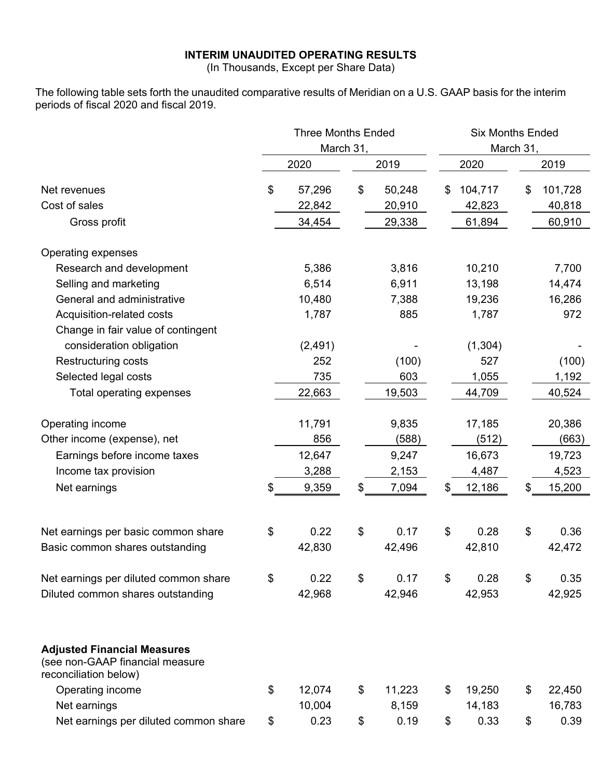## **INTERIM UNAUDITED OPERATING RESULTS**

(In Thousands, Except per Share Data)

The following table sets forth the unaudited comparative results of Meridian on a U.S. GAAP basis for the interim periods of fiscal 2020 and fiscal 2019.

|                                                                                                | <b>Three Months Ended</b> |           |        | <b>Six Months Ended</b><br>March 31, |         |    |         |  |  |  |
|------------------------------------------------------------------------------------------------|---------------------------|-----------|--------|--------------------------------------|---------|----|---------|--|--|--|
|                                                                                                |                           | March 31, |        |                                      |         |    |         |  |  |  |
|                                                                                                | 2020                      |           | 2019   |                                      | 2020    |    | 2019    |  |  |  |
| Net revenues                                                                                   | \$<br>57,296              | \$        | 50,248 | \$                                   | 104,717 | \$ | 101,728 |  |  |  |
| Cost of sales                                                                                  | 22,842                    |           | 20,910 |                                      | 42,823  |    | 40,818  |  |  |  |
| Gross profit                                                                                   | 34,454                    |           | 29,338 |                                      | 61,894  |    | 60,910  |  |  |  |
| Operating expenses                                                                             |                           |           |        |                                      |         |    |         |  |  |  |
| Research and development                                                                       | 5,386                     |           | 3,816  |                                      | 10,210  |    | 7,700   |  |  |  |
| Selling and marketing                                                                          | 6,514                     |           | 6,911  |                                      | 13,198  |    | 14,474  |  |  |  |
| General and administrative                                                                     | 10,480                    |           | 7,388  |                                      | 19,236  |    | 16,286  |  |  |  |
| Acquisition-related costs                                                                      | 1,787                     |           | 885    |                                      | 1,787   |    | 972     |  |  |  |
| Change in fair value of contingent                                                             |                           |           |        |                                      |         |    |         |  |  |  |
| consideration obligation                                                                       | (2, 491)                  |           |        |                                      | (1,304) |    |         |  |  |  |
| Restructuring costs                                                                            | 252                       |           | (100)  |                                      | 527     |    | (100)   |  |  |  |
| Selected legal costs                                                                           | 735                       |           | 603    |                                      | 1,055   |    | 1,192   |  |  |  |
| Total operating expenses                                                                       | 22,663                    |           | 19,503 |                                      | 44,709  |    | 40,524  |  |  |  |
| Operating income                                                                               | 11,791                    |           | 9,835  |                                      | 17,185  |    | 20,386  |  |  |  |
| Other income (expense), net                                                                    | 856                       |           | (588)  |                                      | (512)   |    | (663)   |  |  |  |
| Earnings before income taxes                                                                   | 12,647                    |           | 9,247  |                                      | 16,673  |    | 19,723  |  |  |  |
| Income tax provision                                                                           | 3,288                     |           | 2,153  |                                      | 4,487   |    | 4,523   |  |  |  |
| Net earnings                                                                                   | 9,359                     | \$        | 7,094  | \$                                   | 12,186  | \$ | 15,200  |  |  |  |
|                                                                                                |                           |           |        |                                      |         |    |         |  |  |  |
| Net earnings per basic common share                                                            | \$<br>0.22                | \$        | 0.17   | \$                                   | 0.28    | \$ | 0.36    |  |  |  |
| Basic common shares outstanding                                                                | 42,830                    |           | 42,496 |                                      | 42,810  |    | 42,472  |  |  |  |
| Net earnings per diluted common share                                                          | \$<br>0.22                | \$        | 0.17   | \$                                   | 0.28    | \$ | 0.35    |  |  |  |
| Diluted common shares outstanding                                                              | 42,968                    |           | 42,946 |                                      | 42,953  |    | 42,925  |  |  |  |
| <b>Adjusted Financial Measures</b><br>(see non-GAAP financial measure<br>reconciliation below) |                           |           |        |                                      |         |    |         |  |  |  |
| Operating income                                                                               | \$<br>12,074              | \$        | 11,223 | \$                                   | 19,250  | \$ | 22,450  |  |  |  |
| Net earnings                                                                                   | 10,004                    |           | 8,159  |                                      | 14,183  |    | 16,783  |  |  |  |
| Net earnings per diluted common share                                                          | \$<br>0.23                | \$        | 0.19   | \$                                   | 0.33    | \$ | 0.39    |  |  |  |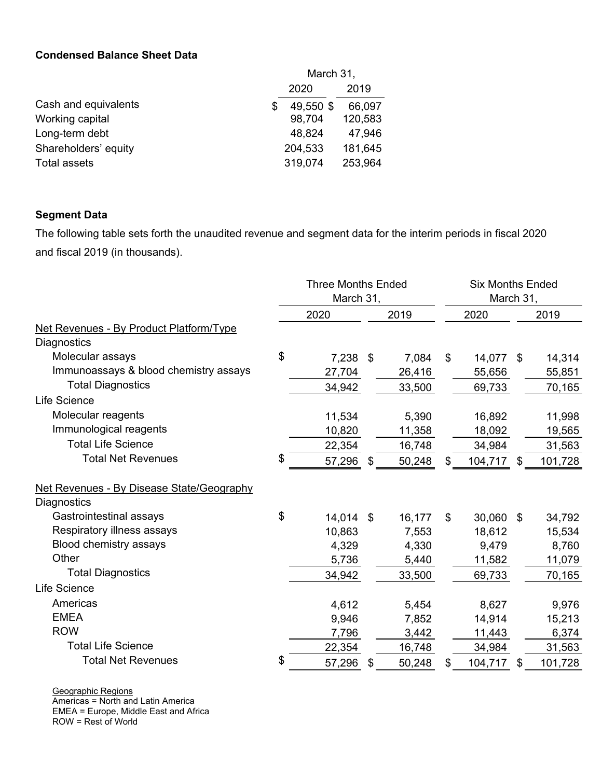## **Condensed Balance Sheet Data**

|                      |      | March 31, |         |  |  |  |
|----------------------|------|-----------|---------|--|--|--|
|                      | 2020 |           |         |  |  |  |
| Cash and equivalents | S    | 49,550 \$ | 66,097  |  |  |  |
| Working capital      |      | 98,704    | 120,583 |  |  |  |
| Long-term debt       |      | 48,824    | 47,946  |  |  |  |
| Shareholders' equity |      | 204,533   | 181,645 |  |  |  |
| Total assets         |      | 319,074   | 253,964 |  |  |  |

## **Segment Data**

The following table sets forth the unaudited revenue and segment data for the interim periods in fiscal 2020 and fiscal 2019 (in thousands).

|                                           | <b>Three Months Ended</b><br>March 31, | <b>Six Months Ended</b><br>March 31, |    |           |    |         |
|-------------------------------------------|----------------------------------------|--------------------------------------|----|-----------|----|---------|
|                                           | 2020                                   | 2019                                 |    | 2020      |    | 2019    |
| Net Revenues - By Product Platform/Type   |                                        |                                      |    |           |    |         |
| Diagnostics                               |                                        |                                      |    |           |    |         |
| Molecular assays                          | \$<br>7,238 \$                         | 7,084                                | \$ | 14,077 \$ |    | 14,314  |
| Immunoassays & blood chemistry assays     | 27,704                                 | 26,416                               |    | 55,656    |    | 55,851  |
| <b>Total Diagnostics</b>                  | 34,942                                 | 33,500                               |    | 69,733    |    | 70,165  |
| Life Science                              |                                        |                                      |    |           |    |         |
| Molecular reagents                        | 11,534                                 | 5,390                                |    | 16,892    |    | 11,998  |
| Immunological reagents                    | 10,820                                 | 11,358                               |    | 18,092    |    | 19,565  |
| <b>Total Life Science</b>                 | 22,354                                 | 16,748                               |    | 34,984    |    | 31,563  |
| <b>Total Net Revenues</b>                 | \$<br>57,296                           | \$<br>50,248                         | \$ | 104,717   | \$ | 101,728 |
| Net Revenues - By Disease State/Geography |                                        |                                      |    |           |    |         |
| Diagnostics                               |                                        |                                      |    |           |    |         |
| Gastrointestinal assays                   | \$<br>14,014 \$                        | 16,177                               | \$ | 30,060    | \$ | 34,792  |
| Respiratory illness assays                | 10,863                                 | 7,553                                |    | 18,612    |    | 15,534  |
| Blood chemistry assays                    | 4,329                                  | 4,330                                |    | 9,479     |    | 8,760   |
| Other                                     | 5,736                                  | 5,440                                |    | 11,582    |    | 11,079  |
| <b>Total Diagnostics</b>                  | 34,942                                 | 33,500                               |    | 69,733    |    | 70,165  |
| Life Science                              |                                        |                                      |    |           |    |         |
| Americas                                  | 4,612                                  | 5,454                                |    | 8,627     |    | 9,976   |
| <b>EMEA</b>                               | 9,946                                  | 7,852                                |    | 14,914    |    | 15,213  |
| <b>ROW</b>                                | 7,796                                  | 3,442                                |    | 11,443    |    | 6,374   |
| <b>Total Life Science</b>                 | 22,354                                 | 16,748                               |    | 34,984    |    | 31,563  |
| <b>Total Net Revenues</b>                 | \$<br>57,296                           | \$<br>50,248                         | \$ | 104,717   | \$ | 101,728 |

Geographic Regions

Americas = North and Latin America EMEA = Europe, Middle East and Africa

ROW = Rest of World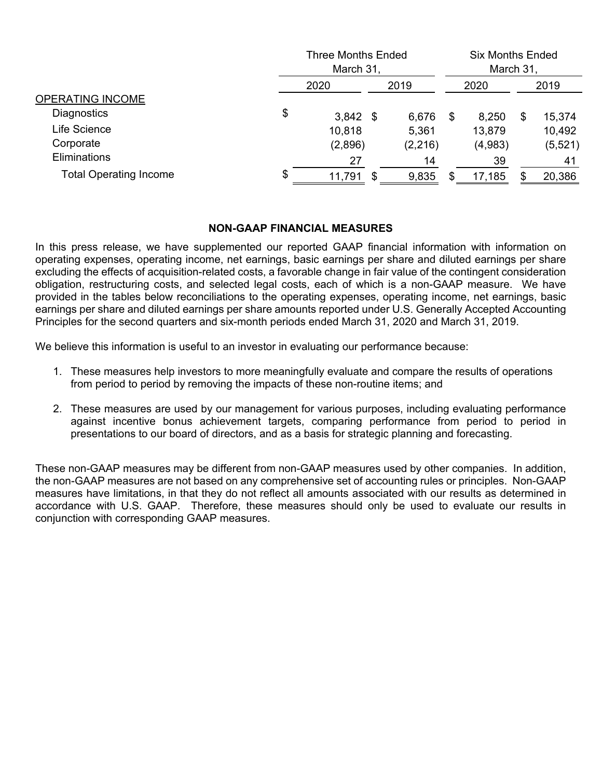|                               |    | <b>Three Months Ended</b><br>March 31, |    | <b>Six Months Ended</b><br>March 31, |    |         |    |         |  |
|-------------------------------|----|----------------------------------------|----|--------------------------------------|----|---------|----|---------|--|
| OPERATING INCOME              |    | 2020                                   |    | 2019                                 |    | 2020    |    | 2019    |  |
|                               |    |                                        |    |                                      |    |         |    |         |  |
| Diagnostics                   | \$ | $3,842$ \$                             |    | 6,676                                | -S | 8,250   | \$ | 15,374  |  |
| Life Science                  |    | 10,818                                 |    | 5,361                                |    | 13,879  |    | 10,492  |  |
| Corporate                     |    | (2,896)                                |    | (2, 216)                             |    | (4,983) |    | (5,521) |  |
| Eliminations                  |    | 27                                     |    | 14                                   |    | 39      |    | 41      |  |
| <b>Total Operating Income</b> | \$ | 11,791                                 | \$ | 9,835                                |    | 17,185  |    | 20,386  |  |

#### **NON-GAAP FINANCIAL MEASURES**

In this press release, we have supplemented our reported GAAP financial information with information on operating expenses, operating income, net earnings, basic earnings per share and diluted earnings per share excluding the effects of acquisition-related costs, a favorable change in fair value of the contingent consideration obligation, restructuring costs, and selected legal costs, each of which is a non-GAAP measure. We have provided in the tables below reconciliations to the operating expenses, operating income, net earnings, basic earnings per share and diluted earnings per share amounts reported under U.S. Generally Accepted Accounting Principles for the second quarters and six-month periods ended March 31, 2020 and March 31, 2019.

We believe this information is useful to an investor in evaluating our performance because:

- 1. These measures help investors to more meaningfully evaluate and compare the results of operations from period to period by removing the impacts of these non-routine items; and
- 2. These measures are used by our management for various purposes, including evaluating performance against incentive bonus achievement targets, comparing performance from period to period in presentations to our board of directors, and as a basis for strategic planning and forecasting.

These non-GAAP measures may be different from non-GAAP measures used by other companies. In addition, the non-GAAP measures are not based on any comprehensive set of accounting rules or principles. Non-GAAP measures have limitations, in that they do not reflect all amounts associated with our results as determined in accordance with U.S. GAAP. Therefore, these measures should only be used to evaluate our results in conjunction with corresponding GAAP measures.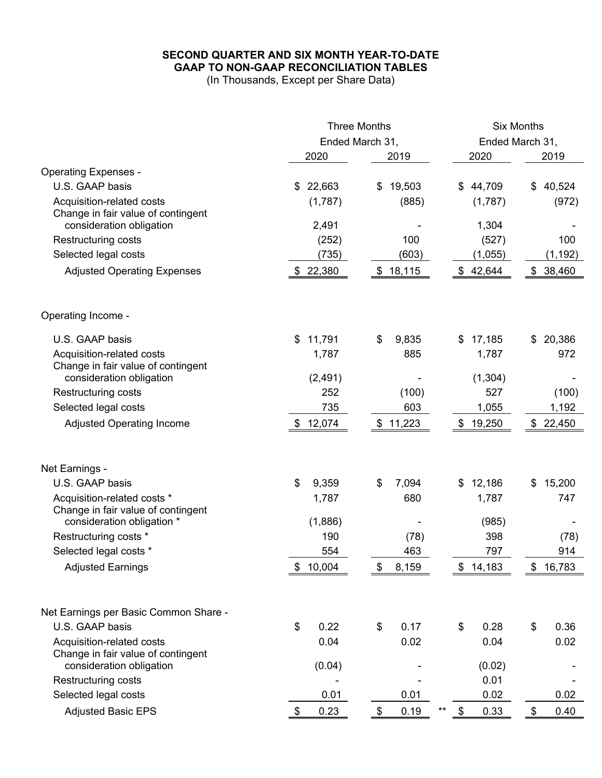## **SECOND QUARTER AND SIX MONTH YEAR-TO-DATE GAAP TO NON-GAAP RECONCILIATION TABLES**

(In Thousands, Except per Share Data)

|                                       |              | <b>Three Months</b> | <b>Six Months</b>                 |                       |  |  |  |
|---------------------------------------|--------------|---------------------|-----------------------------------|-----------------------|--|--|--|
|                                       |              | Ended March 31,     | Ended March 31,                   |                       |  |  |  |
|                                       | 2020         | 2019                | 2020                              | 2019                  |  |  |  |
| <b>Operating Expenses -</b>           |              |                     |                                   |                       |  |  |  |
| U.S. GAAP basis                       | 22,663<br>\$ | 19,503<br>\$        | \$44,709                          | 40,524<br>\$          |  |  |  |
| Acquisition-related costs             | (1,787)      | (885)               | (1,787)                           | (972)                 |  |  |  |
| Change in fair value of contingent    |              |                     |                                   |                       |  |  |  |
| consideration obligation              | 2,491        |                     | 1,304                             |                       |  |  |  |
| Restructuring costs                   | (252)        | 100                 | (527)                             | 100                   |  |  |  |
| Selected legal costs                  | (735)        | (603)               | (1,055)                           | (1, 192)              |  |  |  |
| <b>Adjusted Operating Expenses</b>    | 22,380<br>\$ | 18,115<br>\$        | 42,644<br>\$                      | 38,460<br>\$          |  |  |  |
| Operating Income -                    |              |                     |                                   |                       |  |  |  |
| U.S. GAAP basis                       | 11,791<br>\$ | \$<br>9,835         | 17,185<br>\$                      | 20,386<br>\$          |  |  |  |
| Acquisition-related costs             | 1,787        | 885                 | 1,787                             | 972                   |  |  |  |
| Change in fair value of contingent    |              |                     |                                   |                       |  |  |  |
| consideration obligation              | (2, 491)     |                     | (1, 304)                          |                       |  |  |  |
| <b>Restructuring costs</b>            | 252          | (100)               | 527                               | (100)                 |  |  |  |
| Selected legal costs                  | 735          | 603                 | 1,055                             | 1,192                 |  |  |  |
| <b>Adjusted Operating Income</b>      | \$12,074     | \$11,223            | 19,250<br>\$                      | \$22,450              |  |  |  |
| Net Earnings -                        |              |                     |                                   |                       |  |  |  |
| U.S. GAAP basis                       | \$<br>9,359  | 7,094<br>\$         | 12,186<br>\$                      | 15,200<br>\$          |  |  |  |
| Acquisition-related costs *           | 1,787        | 680                 | 1,787                             | 747                   |  |  |  |
| Change in fair value of contingent    |              |                     |                                   |                       |  |  |  |
| consideration obligation *            | (1,886)      |                     | (985)                             |                       |  |  |  |
| Restructuring costs *                 | 190          | (78)                | 398                               | (78)                  |  |  |  |
| Selected legal costs *                | 554          | 463                 | 797                               | 914                   |  |  |  |
| <b>Adjusted Earnings</b>              | \$<br>10,004 | \$<br>8,159         | \$<br>14,183                      | \$<br>16,783          |  |  |  |
| Net Earnings per Basic Common Share - |              |                     |                                   |                       |  |  |  |
| U.S. GAAP basis                       | \$<br>0.22   | \$<br>0.17          | \$<br>0.28                        | \$<br>0.36            |  |  |  |
| Acquisition-related costs             | 0.04         | 0.02                | 0.04                              | 0.02                  |  |  |  |
| Change in fair value of contingent    |              |                     |                                   |                       |  |  |  |
| consideration obligation              | (0.04)       |                     | (0.02)                            |                       |  |  |  |
| Restructuring costs                   |              |                     | 0.01                              |                       |  |  |  |
| Selected legal costs                  | 0.01         | 0.01                | 0.02                              | 0.02                  |  |  |  |
| <b>Adjusted Basic EPS</b>             | 0.23<br>\$   | \$<br>0.19          | $\boldsymbol{\mathsf{s}}$<br>0.33 | 0.40<br>$\frac{1}{2}$ |  |  |  |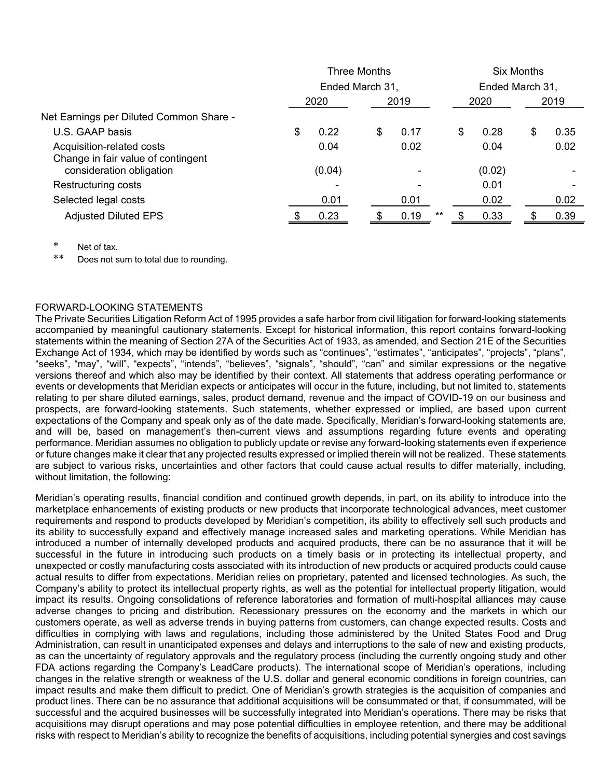|                                                                 | <b>Three Months</b> |        |  |      |      |       | <b>Six Months</b> |        |                 |      |  |
|-----------------------------------------------------------------|---------------------|--------|--|------|------|-------|-------------------|--------|-----------------|------|--|
|                                                                 | Ended March 31,     |        |  |      |      |       |                   |        | Ended March 31, |      |  |
|                                                                 | 2020                |        |  | 2019 |      |       | 2020              |        | 2019            |      |  |
| Net Earnings per Diluted Common Share -                         |                     |        |  |      |      |       |                   |        |                 |      |  |
| U.S. GAAP basis                                                 | \$                  | 0.22   |  | \$   | 0.17 |       | \$                | 0.28   | \$              | 0.35 |  |
| Acquisition-related costs<br>Change in fair value of contingent |                     | 0.04   |  |      | 0.02 |       |                   | 0.04   |                 | 0.02 |  |
| consideration obligation                                        |                     | (0.04) |  |      |      |       |                   | (0.02) |                 |      |  |
| Restructuring costs                                             |                     |        |  |      |      |       |                   | 0.01   |                 |      |  |
| Selected legal costs                                            |                     | 0.01   |  |      | 0.01 |       |                   | 0.02   |                 | 0.02 |  |
| <b>Adjusted Diluted EPS</b>                                     |                     | 0.23   |  |      | 0.19 | $***$ |                   | 0.33   |                 | 0.39 |  |

Net of tax.

Does not sum to total due to rounding.

#### FORWARD-LOOKING STATEMENTS

The Private Securities Litigation Reform Act of 1995 provides a safe harbor from civil litigation for forward-looking statements accompanied by meaningful cautionary statements. Except for historical information, this report contains forward-looking statements within the meaning of Section 27A of the Securities Act of 1933, as amended, and Section 21E of the Securities Exchange Act of 1934, which may be identified by words such as "continues", "estimates", "anticipates", "projects", "plans", "seeks", "may", "will", "expects", "intends", "believes", "signals", "should", "can" and similar expressions or the negative versions thereof and which also may be identified by their context. All statements that address operating performance or events or developments that Meridian expects or anticipates will occur in the future, including, but not limited to, statements relating to per share diluted earnings, sales, product demand, revenue and the impact of COVID-19 on our business and prospects, are forward-looking statements. Such statements, whether expressed or implied, are based upon current expectations of the Company and speak only as of the date made. Specifically, Meridian's forward-looking statements are, and will be, based on management's then-current views and assumptions regarding future events and operating performance. Meridian assumes no obligation to publicly update or revise any forward-looking statements even if experience or future changes make it clear that any projected results expressed or implied therein will not be realized. These statements are subject to various risks, uncertainties and other factors that could cause actual results to differ materially, including, without limitation, the following:

Meridian's operating results, financial condition and continued growth depends, in part, on its ability to introduce into the marketplace enhancements of existing products or new products that incorporate technological advances, meet customer requirements and respond to products developed by Meridian's competition, its ability to effectively sell such products and its ability to successfully expand and effectively manage increased sales and marketing operations. While Meridian has introduced a number of internally developed products and acquired products, there can be no assurance that it will be successful in the future in introducing such products on a timely basis or in protecting its intellectual property, and unexpected or costly manufacturing costs associated with its introduction of new products or acquired products could cause actual results to differ from expectations. Meridian relies on proprietary, patented and licensed technologies. As such, the Company's ability to protect its intellectual property rights, as well as the potential for intellectual property litigation, would impact its results. Ongoing consolidations of reference laboratories and formation of multi-hospital alliances may cause adverse changes to pricing and distribution. Recessionary pressures on the economy and the markets in which our customers operate, as well as adverse trends in buying patterns from customers, can change expected results. Costs and difficulties in complying with laws and regulations, including those administered by the United States Food and Drug Administration, can result in unanticipated expenses and delays and interruptions to the sale of new and existing products, as can the uncertainty of regulatory approvals and the regulatory process (including the currently ongoing study and other FDA actions regarding the Company's LeadCare products). The international scope of Meridian's operations, including changes in the relative strength or weakness of the U.S. dollar and general economic conditions in foreign countries, can impact results and make them difficult to predict. One of Meridian's growth strategies is the acquisition of companies and product lines. There can be no assurance that additional acquisitions will be consummated or that, if consummated, will be successful and the acquired businesses will be successfully integrated into Meridian's operations. There may be risks that acquisitions may disrupt operations and may pose potential difficulties in employee retention, and there may be additional risks with respect to Meridian's ability to recognize the benefits of acquisitions, including potential synergies and cost savings